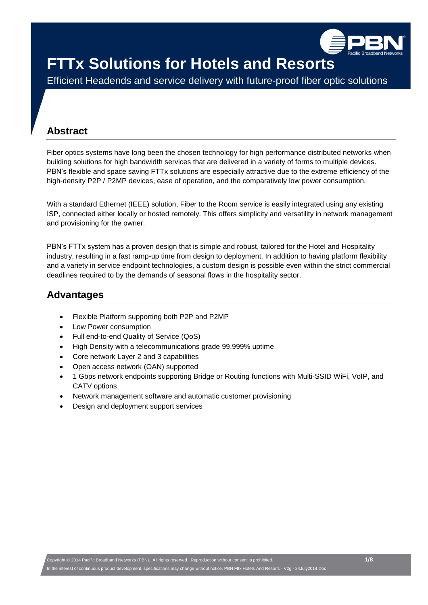

Efficient Headends and service delivery with future-proof fiber optic solutions

## **Abstract**

Fiber optics systems have long been the chosen technology for high performance distributed networks when building solutions for high bandwidth services that are delivered in a variety of forms to multiple devices. PBN's flexible and space saving FTTx solutions are especially attractive due to the extreme efficiency of the high-density P2P / P2MP devices, ease of operation, and the comparatively low power consumption.

With a standard Ethernet (IEEE) solution, Fiber to the Room service is easily integrated using any existing ISP, connected either locally or hosted remotely. This offers simplicity and versatility in network management and provisioning for the owner.

PBN's FTTx system has a proven design that is simple and robust, tailored for the Hotel and Hospitality industry, resulting in a fast ramp-up time from design to deployment. In addition to having platform flexibility and a variety in service endpoint technologies, a custom design is possible even within the strict commercial deadlines required to by the demands of seasonal flows in the hospitality sector.

## **Advantages**

- Flexible Platform supporting both P2P and P2MP
- Low Power consumption
- Full end-to-end Quality of Service (QoS)
- High Density with a telecommunications grade 99.999% uptime
- Core network Layer 2 and 3 capabilities
- Open access network (OAN) supported
- 1 Gbps network endpoints supporting Bridge or Routing functions with Multi-SSID WiFi, VoIP, and CATV options
- Network management software and automatic customer provisioning
- Design and deployment support services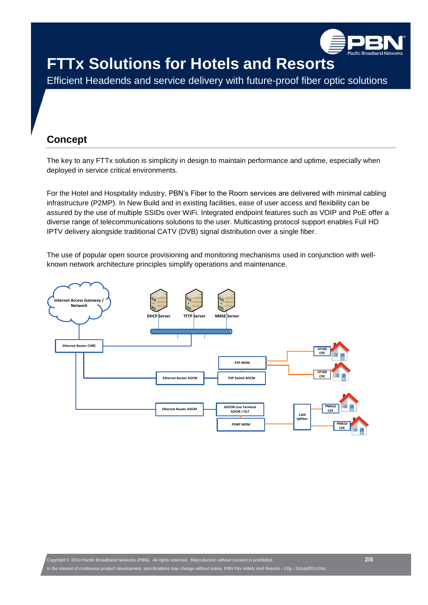

Efficient Headends and service delivery with future-proof fiber optic solutions

## **Concept**

The key to any FTTx solution is simplicity in design to maintain performance and uptime, especially when deployed in service critical environments.

For the Hotel and Hospitality industry, PBN's Fiber to the Room services are delivered with minimal cabling infrastructure (P2MP). In New Build and in existing facilities, ease of user access and flexibility can be assured by the use of multiple SSIDs over WiFi. Integrated endpoint features such as VOIP and PoE offer a diverse range of telecommunications solutions to the user. Multicasting protocol support enables Full HD IPTV delivery alongside traditional CATV (DVB) signal distribution over a single fiber.

The use of popular open source provisioning and monitoring mechanisms used in conjunction with wellknown network architecture principles simplify operations and maintenance.

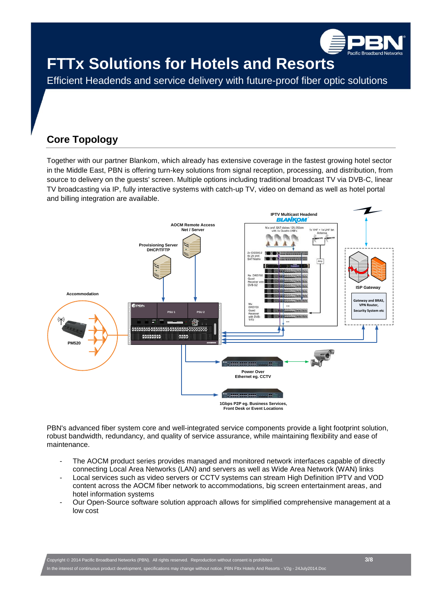

Efficient Headends and service delivery with future-proof fiber optic solutions

## **Core Topology**

Together with our partner Blankom, which already has extensive coverage in the fastest growing hotel sector in the Middle East, PBN is offering turn-key solutions from signal reception, processing, and distribution, from source to delivery on the guests' screen. Multiple options including traditional broadcast TV via DVB-C, linear TV broadcasting via IP, fully interactive systems with catch-up TV, video on demand as well as hotel portal and billing integration are available.



PBN's advanced fiber system core and well-integrated service components provide a light footprint solution, robust bandwidth, redundancy, and quality of service assurance, while maintaining flexibility and ease of maintenance.

- The AOCM product series provides managed and monitored network interfaces capable of directly connecting Local Area Networks (LAN) and servers as well as Wide Area Network (WAN) links
- Local services such as video servers or CCTV systems can stream High Definition IPTV and VOD content across the AOCM fiber network to accommodations, big screen entertainment areas, and hotel information systems
- Our Open-Source software solution approach allows for simplified comprehensive management at a low cost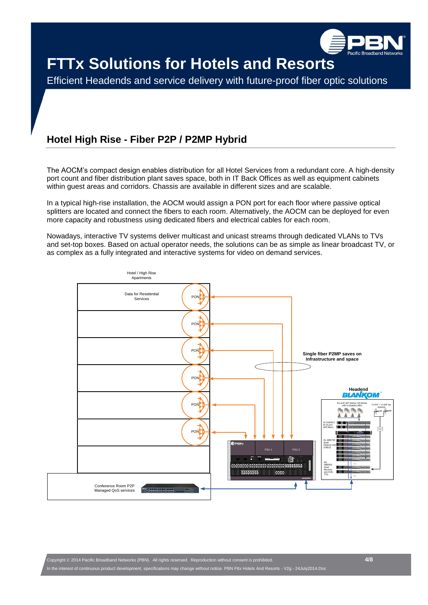

Efficient Headends and service delivery with future-proof fiber optic solutions

## **Hotel High Rise - Fiber P2P / P2MP Hybrid**

The AOCM's compact design enables distribution for all Hotel Services from a redundant core. A high-density port count and fiber distribution plant saves space, both in IT Back Offices as well as equipment cabinets within guest areas and corridors. Chassis are available in different sizes and are scalable.

In a typical high-rise installation, the AOCM would assign a PON port for each floor where passive optical splitters are located and connect the fibers to each room. Alternatively, the AOCM can be deployed for even more capacity and robustness using dedicated fibers and electrical cables for each room.

Nowadays, interactive TV systems deliver multicast and unicast streams through dedicated VLANs to TVs and set-top boxes. Based on actual operator needs, the solutions can be as simple as linear broadcast TV, or as complex as a fully integrated and interactive systems for video on demand services.

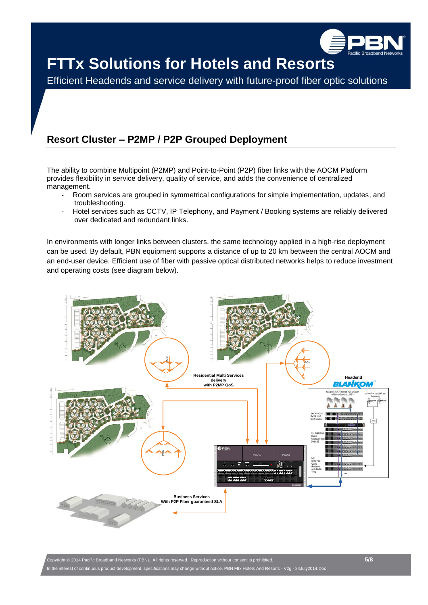

Efficient Headends and service delivery with future-proof fiber optic solutions

## **Resort Cluster – P2MP / P2P Grouped Deployment**

The ability to combine Multipoint (P2MP) and Point-to-Point (P2P) fiber links with the AOCM Platform provides flexibility in service delivery, quality of service, and adds the convenience of centralized management.

- Room services are grouped in symmetrical configurations for simple implementation, updates, and troubleshooting.
- Hotel services such as CCTV, IP Telephony, and Payment / Booking systems are reliably delivered over dedicated and redundant links.

In environments with longer links between clusters, the same technology applied in a high-rise deployment can be used. By default, PBN equipment supports a distance of up to 20 km between the central AOCM and an end-user device. Efficient use of fiber with passive optical distributed networks helps to reduce investment and operating costs (see diagram below).



Copyright 2014 Pacific Broadband Networks (PBN). All rights reserved. Reproduction without consent is prohibited. **5/8** Brest of continuous product development, specifications may change without notice. PBN Fttx Hotels And Resorts - V2g - 24July2014.Doc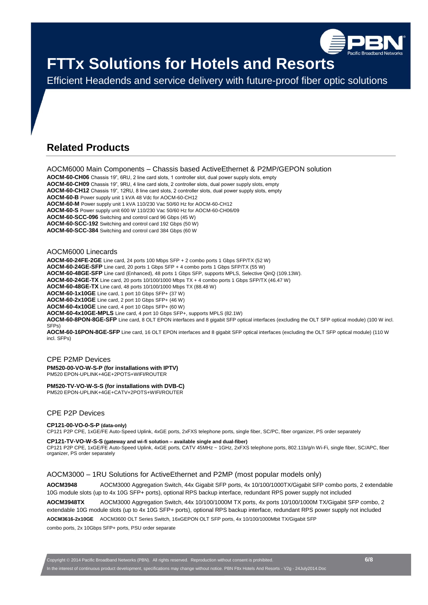

Efficient Headends and service delivery with future-proof fiber optic solutions

### **Related Products**

AOCM6000 Main Components – Chassis based ActiveEthernet & P2MP/GEPON solution

**AOCM-60-CH06** Chassis 19", 6RU, 2 line card slots, 1 controller slot, dual power supply slots, empty **AOCM-60-CH09** Chassis 19", 9RU, 4 line card slots, 2 controller slots, dual power supply slots, empty **AOCM-60-CH12** Chassis 19", 12RU, 8 line card slots, 2 controller slots, dual power supply slots, empty **AOCM-60-B** Power supply unit 1 kVA 48 Vdc for AOCM-60-CH12 **AOCM-60-M** Power supply unit 1 kVA 110/230 Vac 50/60 Hz for AOCM-60-CH12 **AOCM-60-S** Power supply unit 600 W 110/230 Vac 50/60 Hz for AOCM-60-CH06/09 **AOCM-60-SCC-096** Switching and control card 96 Gbps (45 W)

**AOCM-60-SCC-192** Switching and control card 192 Gbps (50 W) **AOCM-60-SCC-384** Switching and control card 384 Gbps (60 W

AOCM6000 Linecards

**AOCM-60-24FE-2GE** Line card, 24 ports 100 Mbps SFP + 2 combo ports 1 Gbps SFP/TX (52 W) **AOCM-60-24GE-SFP** Line card, 20 ports 1 Gbps SFP + 4 combo ports 1 Gbps SFP/TX (55 W) **AOCM-60-48GE-SFP** Line card (Enhanced), 48 ports 1 Gbps SFP, supports MPLS, Selective QinQ (109.13W). **AOCM-60-24GE-TX** Line card, 20 ports 10/100/1000 Mbps TX + 4 combo ports 1 Gbps SFP/TX (46.47 W) **AOCM-60-48GE-TX** Line card, 48 ports 10/100/1000 Mbps TX (88.48 W) **AOCM-60-1x10GE** Line card, 1 port 10 Gbps SFP+ (37 W) **AOCM-60-2x10GE** Line card, 2 port 10 Gbps SFP+ (46 W) **AOCM-60-4x10GE** Line card, 4 port 10 Gbps SFP+ (60 W) **AOCM-60-4x10GE-MPLS** Line card, 4 port 10 Gbps SFP+, supports MPLS (82.1W) **AOCM-60-8PON-8GE-SFP** Line card, 8 OLT EPON interfaces and 8 gigabit SFP optical interfaces (excluding the OLT SFP optical module) (100 W incl. SFPs)

**AOCM-60-16PON-8GE-SFP** Line card, 16 OLT EPON interfaces and 8 gigabit SFP optical interfaces (excluding the OLT SFP optical module) (110 W incl. SFPs)

#### CPE P2MP Devices **PM520-00-VO-W-S-P (for installations with IPTV)** PM520 EPON-UPLINK+4GE+2POTS+WIFI/ROUTER

**PM520-TV-VO-W-S-S (for installations with DVB-C)**

PM520 EPON-UPLINK+4GE+CATV+2POTS+WIFI/ROUTER

### CPE P2P Devices

#### **CP121-00-VO-0-S-P (data-only)**

CP121 P2P CPE, 1xGE/FE Auto-Speed Uplink, 4xGE ports, 2xFXS telephone ports, single fiber, SC/PC, fiber organizer, PS order separately

#### **CP121-TV-VO-W-S-S (gateway and wi-fi solution – available single and dual-fiber)**

CP121 P2P CPE, 1xGE/FE Auto-Speed Uplink, 4xGE ports, CATV 45MHz ~ 1GHz, 2xFXS telephone ports, 802.11b/g/n Wi-Fi, single fiber, SC/APC, fiber organizer, PS order separately

AOCM3000 – 1RU Solutions for ActiveEthernet and P2MP (most popular models only)

**AOCM3948** AOCM3000 Aggregation Switch, 44x Gigabit SFP ports, 4x 10/100/1000TX/Gigabit SFP combo ports, 2 extendable 10G module slots (up to 4x 10G SFP+ ports), optional RPS backup interface, redundant RPS power supply not included

**AOCM3948TX** AOCM3000 Aggregation Switch, 44x 10/100/1000M TX ports, 4x ports 10/100/1000M TX/Gigabit SFP combo, 2 extendable 10G module slots (up to 4x 10G SFP+ ports), optional RPS backup interface, redundant RPS power supply not included

**AOCM3616-2x10GE** AOCM3600 OLT Series Switch, 16xGEPON OLT SFP ports, 4x 10/100/1000Mbit TX/Gigabit SFP

combo ports, 2x 10Gbps SFP+ ports, PSU order separate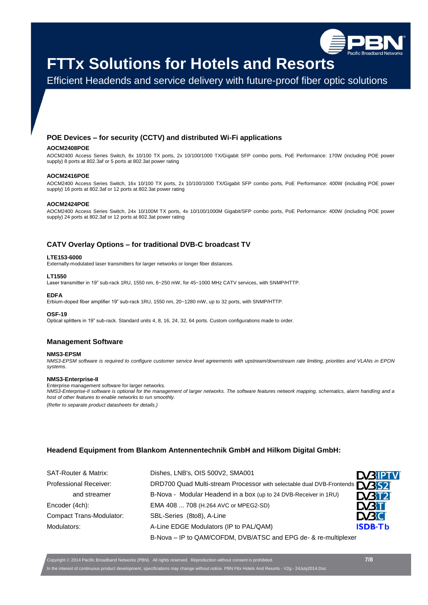

Efficient Headends and service delivery with future-proof fiber optic solutions

### **POE Devices – for security (CCTV) and distributed Wi-Fi applications**

#### **AOCM2408POE**

AOCM2400 Access Series Switch, 8x 10/100 TX ports, 2x 10/100/1000 TX/Gigabit SFP combo ports, PoE Performance: 170W (including POE power supply) 8 ports at 802.3af or 5 ports at 802.3at power rating

#### **AOCM2416POE**

AOCM2400 Access Series Switch, 16x 10/100 TX ports, 2x 10/100/1000 TX/Gigabit SFP combo ports, PoE Performance: 400W (including POE power supply) 16 ports at 802.3af or 12 ports at 802.3at power rating

#### **AOCM2424POE**

AOCM2400 Access Series Switch, 24x 10/100M TX ports, 4x 10/100/1000M Gigabit/SFP combo ports, PoE Performance: 400W (including POE power supply) 24 ports at 802.3af or 12 ports at 802.3at power rating

### **CATV Overlay Options – for traditional DVB-C broadcast TV**

#### **LTE153-6000**

Externally-modulated laser transmitters for larger networks or longer fiber distances.

#### **LT1550**

Laser transmitter in 19" sub-rack 1RU, 1550 nm, 6~250 mW, for 45~1000 MHz CATV services, with SNMP/HTTP.

#### **EDFA**

Erbium-doped fiber amplifier 19" sub-rack 1RU, 1550 nm, 20~1280 mW, up to 32 ports, with SNMP/HTTP.

#### **OSF-19**

Optical splitters in 19" sub-rack. Standard units 4, 8, 16, 24, 32, 64 ports. Custom configurations made to order.

#### **Management Software**

#### **NMS3-EPSM**

*NMS3-EPSM software is required to configure customer service level agreements with upstream/downstream rate limiting, priorities and VLANs in EPON systems.*

#### **NMS3-Enterprise-II**

Enterprise management software for larger networks.

*NMS3-Enterprise-II software is optional for the management of larger networks. The software features network mapping, schematics, alarm handling and a host of other features to enable networks to run smoothly.*

*(Refer to separate product datasheets for details.)*

### **Headend Equipment from Blankom Antennentechnik GmbH and Hilkom Digital GmbH:**

| <b>SAT-Router &amp; Matrix:</b> | Dishes, LNB's, OIS 500V2, SMA001                                                  | <b>DABIPTV</b>                  |
|---------------------------------|-----------------------------------------------------------------------------------|---------------------------------|
| <b>Professional Receiver:</b>   | DRD700 Quad Multi-stream Processor with selectable dual DVB-Frontends <b>NBS2</b> |                                 |
| and streamer                    | B-Nova - Modular Headend in a box (up to 24 DVB-Receiver in 1RU)                  | <b>D</b> <i>B</i> <sub>12</sub> |
| Encoder (4ch):                  | EMA 408  708 (H.264 AVC or MPEG2-SD)                                              | <b>DATI</b>                     |
| <b>Compact Trans-Modulator:</b> | SBL-Series (8to8), A-Line                                                         | <b>EVBC</b>                     |
| Modulators:                     | A-Line EDGE Modulators (IP to PAL/QAM)                                            | <b>ISDB-Tb</b>                  |
|                                 | B-Nova - IP to QAM/COFDM, DVB/ATSC and EPG de- & re-multiplexer                   |                                 |

Copyright 2014 Pacific Broadband Networks (PBN). All rights reserved. Reproduction without consent is prohibited. **7/8** In the interest of continuous product development, specifications may change without notice. PBN Fttx Hotels And Resorts - V2g - 24July2014.Doc